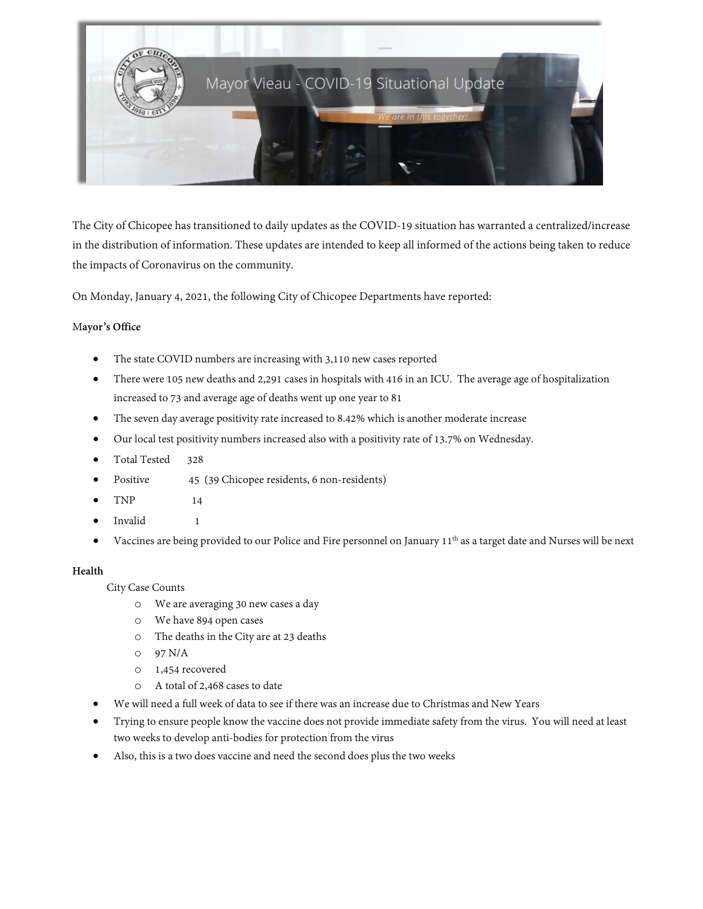

The City of Chicopee has transitioned to daily updates as the COVID-19 situation has warranted a centralized/increase in the distribution of information. These updates are intended to keep all informed of the actions being taken to reduce the impacts of Coronavirus on the community.

On Monday, January 4, 2021, the following City of Chicopee Departments have reported:

## M**ayor's Office**

- The state COVID numbers are increasing with 3,110 new cases reported
- There were 105 new deaths and 2,291 cases in hospitals with 416 in an ICU. The average age of hospitalization increased to 73 and average age of deaths went up one year to 81
- The seven day average positivity rate increased to 8.42% which is another moderate increase
- Our local test positivity numbers increased also with a positivity rate of 13.7% on Wednesday.
- Total Tested 328
- Positive 45 (39 Chicopee residents, 6 non-residents)
- TNP 14
- Invalid 1
- Vaccines are being provided to our Police and Fire personnel on January 11<sup>th</sup> as a target date and Nurses will be next

## **Health**

City Case Counts

- o We are averaging 30 new cases a day
- o We have 894 open cases
- o The deaths in the City are at 23 deaths
- o 97 N/A
- o 1,454 recovered
- o A total of 2,468 cases to date
- We will need a full week of data to see if there was an increase due to Christmas and New Years
- Trying to ensure people know the vaccine does not provide immediate safety from the virus. You will need at least two weeks to develop anti-bodies for protection from the virus
- Also, this is a two does vaccine and need the second does plus the two weeks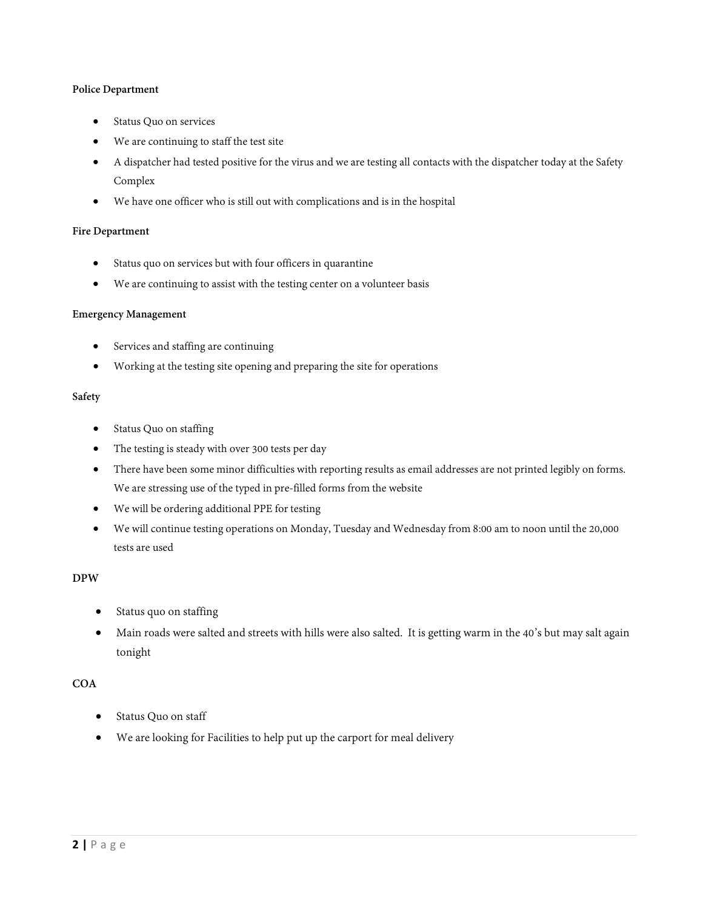## **Police Department**

- Status Quo on services
- We are continuing to staff the test site
- A dispatcher had tested positive for the virus and we are testing all contacts with the dispatcher today at the Safety Complex
- We have one officer who is still out with complications and is in the hospital

## **Fire Department**

- Status quo on services but with four officers in quarantine
- We are continuing to assist with the testing center on a volunteer basis

## **Emergency Management**

- Services and staffing are continuing
- Working at the testing site opening and preparing the site for operations

#### **Safety**

- Status Quo on staffing
- The testing is steady with over 300 tests per day
- There have been some minor difficulties with reporting results as email addresses are not printed legibly on forms. We are stressing use of the typed in pre-filled forms from the website
- We will be ordering additional PPE for testing
- We will continue testing operations on Monday, Tuesday and Wednesday from 8:00 am to noon until the 20,000 tests are used

# **DPW**

- Status quo on staffing
- Main roads were salted and streets with hills were also salted. It is getting warm in the 40's but may salt again tonight

## **COA**

- Status Quo on staff
- We are looking for Facilities to help put up the carport for meal delivery